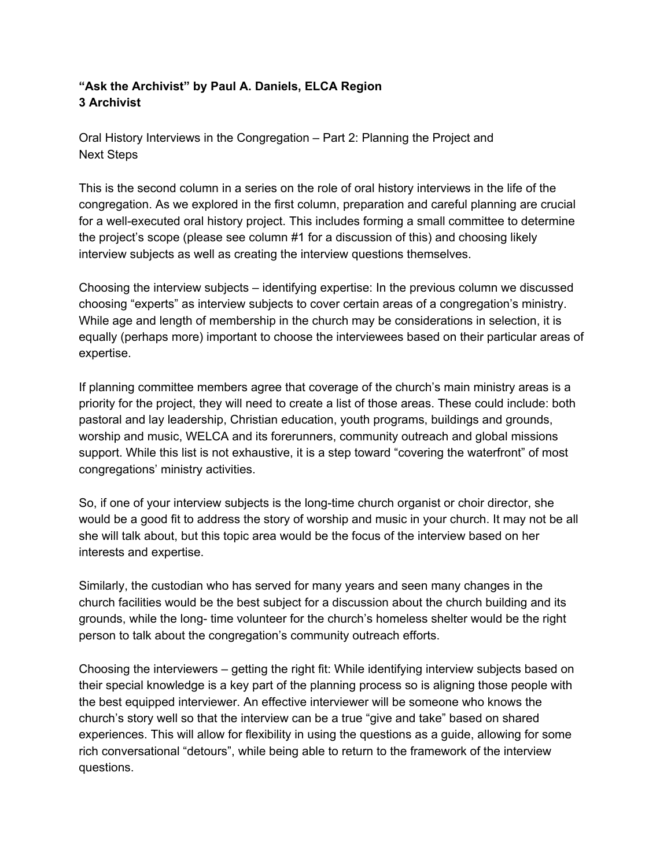## **"Ask the Archivist" by Paul A. Daniels, ELCA Region 3 Archivist**

Oral History Interviews in the Congregation – Part 2: Planning the Project and Next Steps

This is the second column in a series on the role of oral history interviews in the life of the congregation. As we explored in the first column, preparation and careful planning are crucial for a well-executed oral history project. This includes forming a small committee to determine the project's scope (please see column #1 for a discussion of this) and choosing likely interview subjects as well as creating the interview questions themselves.

Choosing the interview subjects – identifying expertise: In the previous column we discussed choosing "experts" as interview subjects to cover certain areas of a congregation's ministry. While age and length of membership in the church may be considerations in selection, it is equally (perhaps more) important to choose the interviewees based on their particular areas of expertise.

If planning committee members agree that coverage of the church's main ministry areas is a priority for the project, they will need to create a list of those areas. These could include: both pastoral and lay leadership, Christian education, youth programs, buildings and grounds, worship and music, WELCA and its forerunners, community outreach and global missions support. While this list is not exhaustive, it is a step toward "covering the waterfront" of most congregations' ministry activities.

So, if one of your interview subjects is the long-time church organist or choir director, she would be a good fit to address the story of worship and music in your church. It may not be all she will talk about, but this topic area would be the focus of the interview based on her interests and expertise.

Similarly, the custodian who has served for many years and seen many changes in the church facilities would be the best subject for a discussion about the church building and its grounds, while the long- time volunteer for the church's homeless shelter would be the right person to talk about the congregation's community outreach efforts.

Choosing the interviewers – getting the right fit: While identifying interview subjects based on their special knowledge is a key part of the planning process so is aligning those people with the best equipped interviewer. An effective interviewer will be someone who knows the church's story well so that the interview can be a true "give and take" based on shared experiences. This will allow for flexibility in using the questions as a guide, allowing for some rich conversational "detours", while being able to return to the framework of the interview questions.